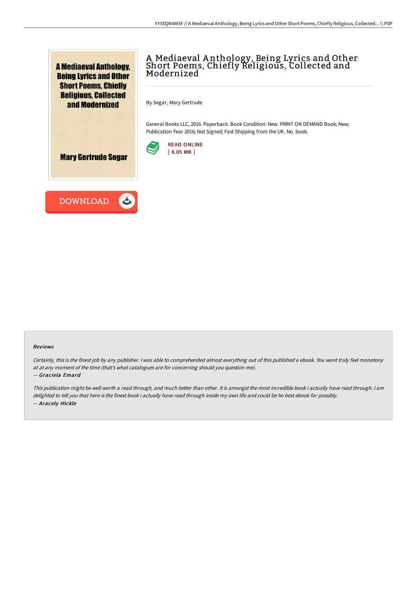

# A Mediaeval A nthology, Being Lyrics and Other Short Poems, Chiefly Religious, Collected and Modernized

By Segar, Mary Gertrude

General Books LLC, 2016. Paperback. Book Condition: New. PRINT ON DEMAND Book; New; Publication Year 2016; Not Signed; Fast Shipping from the UK. No. book.



**Mary Gertrude Segar** 



#### Reviews

Certainly, this is the finest job by any publisher. I was able to comprehended almost everything out of this published e ebook. You wont truly feel monotony at at any moment of the time (that's what catalogues are for concerning should you question me).

#### -- Graciela Emard

This publication might be well worth <sup>a</sup> read through, and much better than other. It is amongst the most incredible book i actually have read through. I am delighted to tell you that here is the finest book i actually have read through inside my own life and could be he best ebook for possibly. -- Aracely Hickle